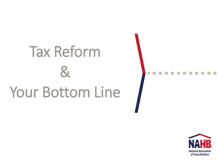### Tax Reform  $\mathbf{g}$ Your Bottom Line

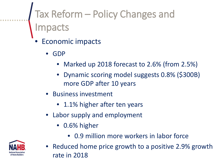#### Tax Reform – Policy Changes and Impacts

- Economic impacts
	- GDP
		- Marked up 2018 forecast to 2.6% (from 2.5%)
		- Dynamic scoring model suggests 0.8% (\$300B) more GDP after 10 years
	- Business investment
		- 1.1% higher after ten years
	- Labor supply and employment
		- 0.6% higher
			- 0.9 million more workers in labor force

• Reduced home price growth to a positive 2.9% growth rate in 2018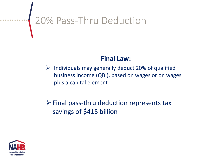# **20% Pass-Thru Deduction**

#### **Final Law:**

 $\triangleright$  Individuals may generally deduct 20% of qualified business income (QBI), based on wages or on wages plus a capital element

#### $\triangleright$  Final pass-thru deduction represents tax savings of \$415 billion

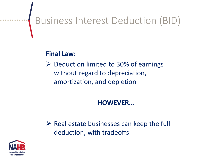### Business Interest Deduction (BID)

#### **Final Law:**

 $\triangleright$  Deduction limited to 30% of earnings without regard to depreciation, amortization, and depletion

#### **HOWEVER…**

 $\triangleright$  Real estate businesses can keep the full deduction, with tradeoffs

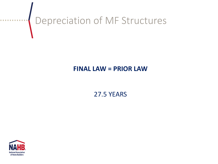# Depreciation of MF Structures

#### **FINAL LAW = PRIOR LAW**

27.5 YEARS



. . . . . . . . . .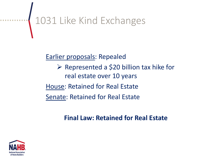# 1031 Like Kind Exchanges

Earlier proposals: Repealed

 $\triangleright$  Represented a \$20 billion tax hike for real estate over 10 years House: Retained for Real Estate Senate: Retained for Real Estate

#### **Final Law: Retained for Real Estate**

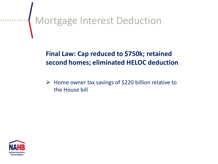# Mortgage Interest Deduction

#### **Final Law: Cap reduced to \$750k; retained second homes; eliminated HELOC deduction**

 $\triangleright$  Home owner tax savings of \$220 billion relative to the House bill

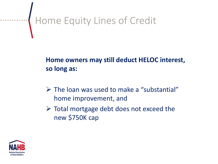# Home Equity Lines of Credit

**Home owners may still deduct HELOC interest, so long as:**

- $\triangleright$  The loan was used to make a "substantial" home improvement, and
- $\triangleright$  Total mortgage debt does not exceed the new \$750K cap

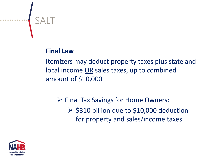#### **Final Law**

...........<mark>.</mark> SALT

Itemizers may deduct property taxes plus state and local income OR sales taxes, up to combined amount of \$10,000

 $\triangleright$  Final Tax Savings for Home Owners:

 $\geq$  \$310 billion due to \$10,000 deduction for property and sales/income taxes

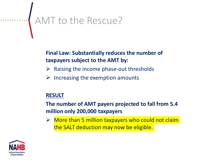## AMT to the Rescue?

#### **Final Law: Substantially reduces the number of taxpayers subject to the AMT by:**

- $\triangleright$  Raising the income phase-out thresholds
- $\triangleright$  Increasing the exemption amounts

#### **RESULT**

**The number of AMT payers projected to fall from 5.4 million only 200,000 taxpayers**

 $\triangleright$  More than 5 million taxpayers who could not claim the SALT deduction may now be eligible.

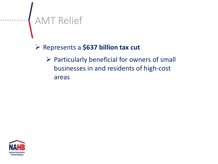### AMT Relief

Represents a **\$637 billion tax cut**

 $\triangleright$  Particularly beneficial for owners of small businesses in and residents of high-cost areas

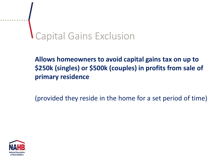# Capital Gains Exclusion

**Allows homeowners to avoid capital gains tax on up to \$250k (singles) or \$500k (couples) in profits from sale of primary residence**

(provided they reside in the home for a set period of time)

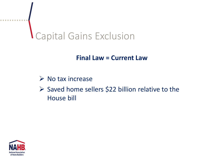### Capital Gains Exclusion

#### **Final Law = Current Law**

#### $\triangleright$  No tax increase

 $\triangleright$  Saved home sellers \$22 billion relative to the House bill

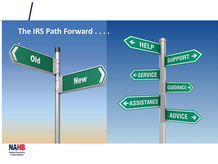

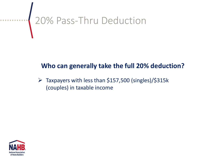# **20% Pass-Thru Deduction**

#### **Who can generally take the full 20% deduction?**

 $\triangleright$  Taxpayers with less than \$157,500 (singles)/\$315k (couples) in taxable income

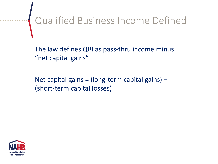Qualified Business Income Defined

The law defines QBI as pass-thru income minus "net capital gains"

Net capital gains = (long-term capital gains)  $-$ (short-term capital losses)

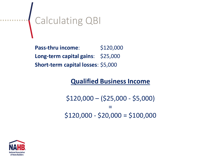### Calculating QBI

**Pass-thru income:** \$120,000 **Long-term capital gains**: \$25,000 **Short-term capital losses**: \$5,000

#### **Qualified Business Income**

\$120,000 – (\$25,000 - \$5,000) =  $$120,000 - $20,000 = $100,000$ 

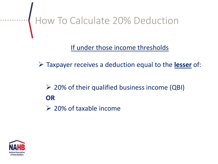How To Calculate 20% Deduction

#### If under those income thresholds

Taxpayer receives a deduction equal to the **lesser** of:

#### $\geq$  20% of their qualified business income (QBI) **OR**

 $\geq 20\%$  of taxable income

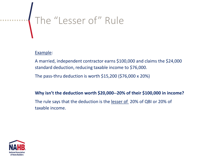# www.fracefillering.com/margin="1" Rule

#### Example:

A married, independent contractor earns \$100,000 and claims the \$24,000 standard deduction, reducing taxable income to \$76,000.

The pass-thru deduction is worth \$15,200 (\$76,000 x 20%)

#### **Why isn't the deduction worth \$20,000--20% of their \$100,000 in income?**

The rule says that the deduction is the lesser of 20% of QBI or 20% of taxable income.

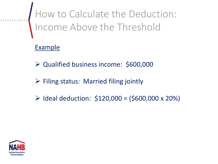How to Calculate the Deduction: Income Above the Threshold

#### Example

- Qualified business income: \$600,000
- $\triangleright$  Filing status: Married filing jointly
- $\triangleright$  Ideal deduction: \$120,000 = (\$600,000 x 20%)

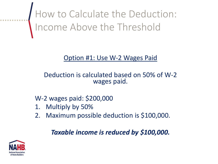How to Calculate the Deduction: Income Above the Threshold

#### Option #1: Use W-2 Wages Paid

#### Deduction is calculated based on 50% of W-2 wages paid.

#### W-2 wages paid: \$200,000

- 1. Multiply by 50%
- 2. Maximum possible deduction is \$100,000.

#### *Taxable income is reduced by \$100,000.*

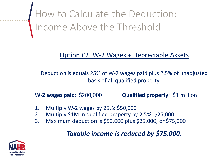How to Calculate the Deduction: Income Above the Threshold

#### Option #2: W-2 Wages + Depreciable Assets

Deduction is equals 25% of W-2 wages paid plus 2.5% of unadjusted basis of all qualified property.

**W-2 wages paid**: \$200,000 **Qualified property**: \$1 million

- 1. Multiply W-2 wages by 25%: \$50,000
- 2. Multiply \$1M in qualified property by 2.5%: \$25,000
- 3. Maximum deduction is \$50,000 plus \$25,000, or \$75,000

#### *Taxable income is reduced by \$75,000.*

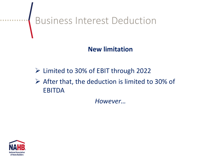

#### **New limitation**

- $\triangleright$  Limited to 30% of EBIT through 2022
- $\triangleright$  After that, the deduction is limited to 30% of EBITDA

*However…*

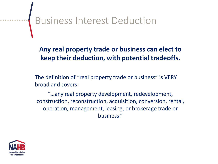## Business Interest Deduction

**Any real property trade or business can elect to keep their deduction, with potential tradeoffs.**

The definition of "real property trade or business" is VERY broad and covers:

"…any real property development, redevelopment, construction, reconstruction, acquisition, conversion, rental, operation, management, leasing, or brokerage trade or business."

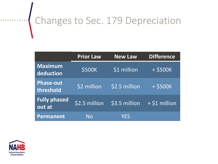### Changes to Sec. 179 Depreciation

|                               | <b>Prior Law</b> | <b>New Law</b> | <b>Difference</b> |
|-------------------------------|------------------|----------------|-------------------|
| <b>Maximum</b><br>deduction   | \$500K           | \$1 million    | $+$ \$500K        |
| <b>Phase-out</b><br>threshold | \$2 million      | \$2.5 million  | $+$ \$500K        |
| <b>Fully phased</b><br>out at | $$2.5$ million   | \$3.5 million  | $+$ \$1 million   |
| <b>Permanent</b>              | <b>No</b>        | YES            |                   |

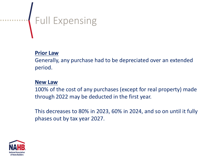# **Full Expensing**

#### **Prior Law**

Generally, any purchase had to be depreciated over an extended period.

#### **New Law**

100% of the cost of any purchases (except for real property) made through 2022 may be deducted in the first year.

This decreases to 80% in 2023, 60% in 2024, and so on until it fully phases out by tax year 2027.

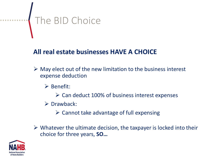# The BID Choice

#### **All real estate businesses HAVE A CHOICE**

- $\triangleright$  May elect out of the new limitation to the business interest expense deduction
	- $\triangleright$  Benefit:
		- $\triangleright$  Can deduct 100% of business interest expenses
	- $\triangleright$  Drawback:
		- $\triangleright$  Cannot take advantage of full expensing
- $\triangleright$  Whatever the ultimate decision, the taxpayer is locked into their choice for three years, **SO…**

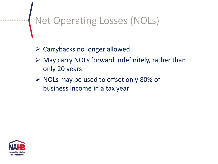## Net Operating Losses (NOLs)

- Carrybacks no longer allowed
- $\triangleright$  May carry NOLs forward indefinitely, rather than only 20 years
- $\triangleright$  NOLs may be used to offset only 80% of business income in a tax year

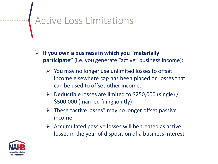### Active Loss Limitations

- **If you own a business in which you "materially participate"** (i.e. you generate "active" business income):
	- $\triangleright$  You may no longer use unlimited losses to offset income elsewhere cap has been placed on losses that can be used to offset other income.
	- Deductible losses are limited to \$250,000 (single) / \$500,000 (married filing jointly)
	- $\triangleright$  These "active losses" may no longer offset passive income
	- $\triangleright$  Accumulated passive losses will be treated as active losses in the year of disposition of a business interest

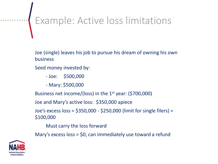## Example: Active loss limitations

Joe (single) leaves his job to pursue his dream of owning his own business

Seed money invested by:

- Joe: \$500,000

- Mary: \$500,000

Business net income/(loss) in the  $1<sup>st</sup>$  year: (\$700,000)

Joe and Mary's active loss: \$350,000 apiece

Joe's excess loss = \$350,000 - \$250,000 (limit for single filers) = \$100,000

Must carry the loss forward

Mary's excess loss = \$0, can immediately use toward a refund

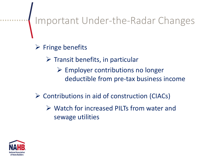### Important Under-the-Radar Changes

- $\triangleright$  Fringe benefits
	- $\triangleright$  Transit benefits, in particular
		- $\triangleright$  Employer contributions no longer deductible from pre-tax business income
- $\triangleright$  Contributions in aid of construction (CIACs)
	- Watch for increased PILTs from water and sewage utilities